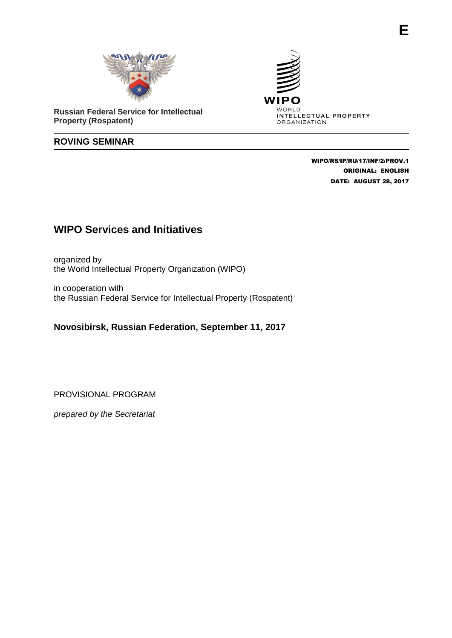

**Russian Federal Service for Intellectual Property (Rospatent)**

## **ROVING SEMINAR**



 WIPO/RS/IP/RU/17/INF/2/PROV.1 ORIGINAL: ENGLISH DATE: AUGUST 28, 2017

## **WIPO Services and Initiatives**

organized by the World Intellectual Property Organization (WIPO)

in cooperation with the Russian Federal Service for Intellectual Property (Rospatent)

## **Novosibirsk, Russian Federation, September 11, 2017**

PROVISIONAL PROGRAM

*prepared by the Secretariat*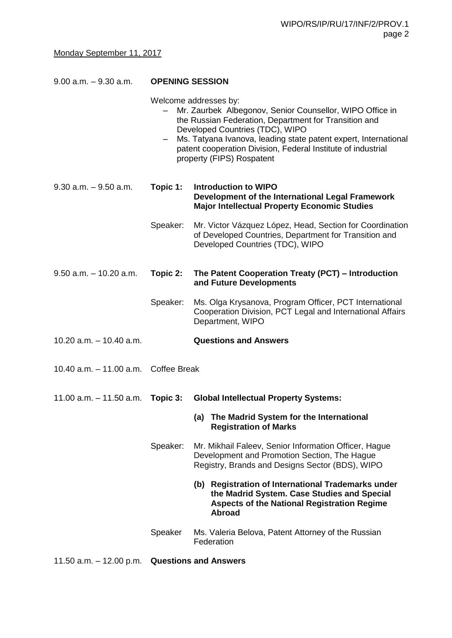| $9.00$ a.m. $-9.30$ a.m.             | <b>OPENING SESSION</b>                                                                                                                                                                                                                                                                                                                        |                                                                                                                                                                          |  |
|--------------------------------------|-----------------------------------------------------------------------------------------------------------------------------------------------------------------------------------------------------------------------------------------------------------------------------------------------------------------------------------------------|--------------------------------------------------------------------------------------------------------------------------------------------------------------------------|--|
|                                      | Welcome addresses by:<br>Mr. Zaurbek Albegonov, Senior Counsellor, WIPO Office in<br>the Russian Federation, Department for Transition and<br>Developed Countries (TDC), WIPO<br>Ms. Tatyana Ivanova, leading state patent expert, International<br>patent cooperation Division, Federal Institute of industrial<br>property (FIPS) Rospatent |                                                                                                                                                                          |  |
| $9.30$ a.m. $-9.50$ a.m.             | Topic 1:                                                                                                                                                                                                                                                                                                                                      | <b>Introduction to WIPO</b><br>Development of the International Legal Framework<br><b>Major Intellectual Property Economic Studies</b>                                   |  |
|                                      | Speaker:                                                                                                                                                                                                                                                                                                                                      | Mr. Victor Vázquez López, Head, Section for Coordination<br>of Developed Countries, Department for Transition and<br>Developed Countries (TDC), WIPO                     |  |
| $9.50$ a.m. $-10.20$ a.m.            | Topic 2:                                                                                                                                                                                                                                                                                                                                      | The Patent Cooperation Treaty (PCT) - Introduction<br>and Future Developments                                                                                            |  |
|                                      | Speaker:                                                                                                                                                                                                                                                                                                                                      | Ms. Olga Krysanova, Program Officer, PCT International<br>Cooperation Division, PCT Legal and International Affairs<br>Department, WIPO                                  |  |
| 10.20 $a.m. - 10.40 a.m.$            |                                                                                                                                                                                                                                                                                                                                               | <b>Questions and Answers</b>                                                                                                                                             |  |
| 10.40 a.m. - 11.00 a.m. Coffee Break |                                                                                                                                                                                                                                                                                                                                               |                                                                                                                                                                          |  |
| $11.00$ a.m. $-11.50$ a.m.           | Topic 3:                                                                                                                                                                                                                                                                                                                                      | <b>Global Intellectual Property Systems:</b>                                                                                                                             |  |
|                                      |                                                                                                                                                                                                                                                                                                                                               | (a) The Madrid System for the International<br><b>Registration of Marks</b>                                                                                              |  |
|                                      | Speaker:                                                                                                                                                                                                                                                                                                                                      | Mr. Mikhail Faleev, Senior Information Officer, Hague<br>Development and Promotion Section, The Hague<br>Registry, Brands and Designs Sector (BDS), WIPO                 |  |
|                                      |                                                                                                                                                                                                                                                                                                                                               | (b) Registration of International Trademarks under<br>the Madrid System. Case Studies and Special<br><b>Aspects of the National Registration Regime</b><br><b>Abroad</b> |  |
|                                      | Speaker                                                                                                                                                                                                                                                                                                                                       | Ms. Valeria Belova, Patent Attorney of the Russian<br>Federation                                                                                                         |  |

11.50 a.m. – 12.00 p.m. **Questions and Answers**